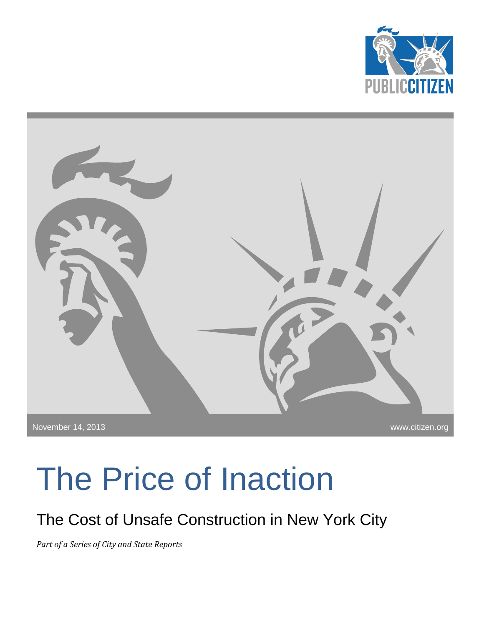



# The Price of Inaction

The Cost of Unsafe Construction in New York City

*Part of a Series of City and State Reports*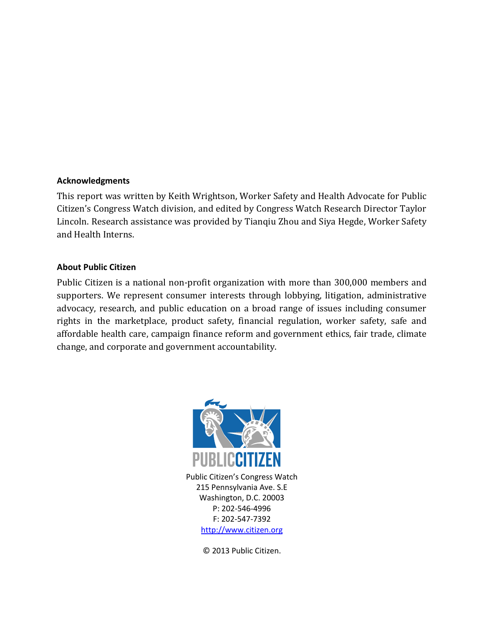#### **Acknowledgments**

This report was written by Keith Wrightson, Worker Safety and Health Advocate for Public Citizen's Congress Watch division, and edited by Congress Watch Research Director Taylor Lincoln. Research assistance was provided by Tianqiu Zhou and Siya Hegde, Worker Safety and Health Interns.

#### **About Public Citizen**

Public Citizen is a national non-profit organization with more than 300,000 members and supporters. We represent consumer interests through lobbying, litigation, administrative advocacy, research, and public education on a broad range of issues including consumer rights in the marketplace, product safety, financial regulation, worker safety, safe and affordable health care, campaign finance reform and government ethics, fair trade, climate change, and corporate and government accountability.



Public Citizen's Congress Watch 215 Pennsylvania Ave. S.E Washington, D.C. 20003 P: 202-546-4996 F: 202-547-7392 [http://www.citizen.org](http://www.citizen.org/)

© 2013 Public Citizen.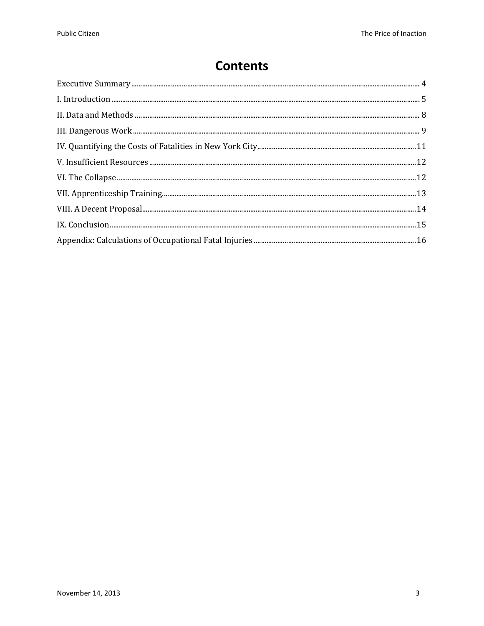#### **Contents**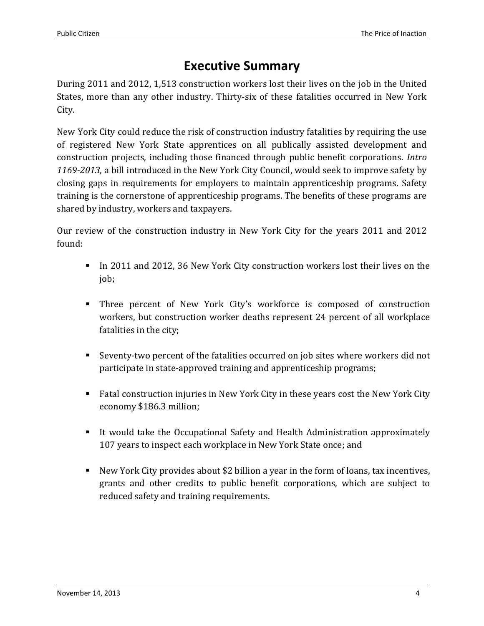## **Executive Summary**

<span id="page-3-0"></span>During 2011 and 2012, 1,513 construction workers lost their lives on the job in the United States, more than any other industry. Thirty-six of these fatalities occurred in New York City.

New York City could reduce the risk of construction industry fatalities by requiring the use of registered New York State apprentices on all publically assisted development and construction projects, including those financed through public benefit corporations. *Intro 1169-2013*, a bill introduced in the New York City Council, would seek to improve safety by closing gaps in requirements for employers to maintain apprenticeship programs. Safety training is the cornerstone of apprenticeship programs. The benefits of these programs are shared by industry, workers and taxpayers.

Our review of the construction industry in New York City for the years 2011 and 2012 found:

- In 2011 and 2012, 36 New York City construction workers lost their lives on the job;
- Three percent of New York City's workforce is composed of construction workers, but construction worker deaths represent 24 percent of all workplace fatalities in the city;
- Seventy-two percent of the fatalities occurred on job sites where workers did not participate in state-approved training and apprenticeship programs;
- Fatal construction injuries in New York City in these years cost the New York City economy \$186.3 million;
- It would take the Occupational Safety and Health Administration approximately 107 years to inspect each workplace in New York State once; and
- New York City provides about \$2 billion a year in the form of loans, tax incentives, grants and other credits to public benefit corporations, which are subject to reduced safety and training requirements.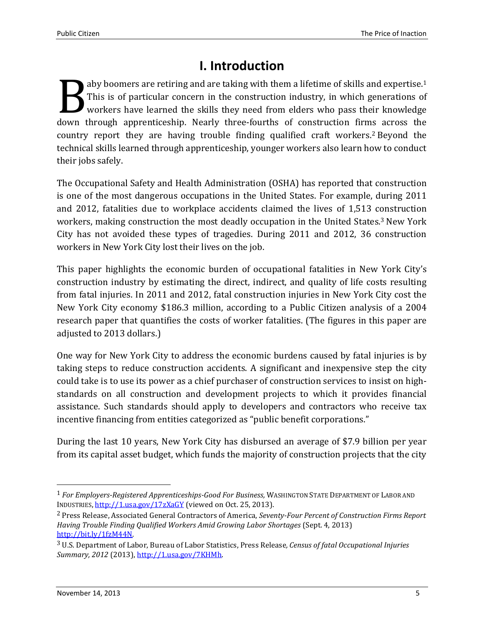## **I. Introduction**

<span id="page-4-0"></span>aby boomers are retiring and are taking with them a lifetime of skills and expertise. 1 This is of particular concern in the construction industry, in which generations of workers have learned the skills they need from elders who pass their knowledge aby boomers are retiring and are taking with them a lifetime of skills and expertise.<sup>1</sup> This is of particular concern in the construction industry, in which generations of workers have learned the skills they need from el country report they are having trouble finding qualified craft workers.<sup>2</sup> Beyond the technical skills learned through apprenticeship, younger workers also learn how to conduct their jobs safely.

The Occupational Safety and Health Administration (OSHA) has reported that construction is one of the most dangerous occupations in the United States. For example, during 2011 and 2012, fatalities due to workplace accidents claimed the lives of 1,513 construction workers, making construction the most deadly occupation in the United States.<sup>3</sup> New York City has not avoided these types of tragedies. During 2011 and 2012, 36 construction workers in New York City lost their lives on the job.

This paper highlights the economic burden of occupational fatalities in New York City's construction industry by estimating the direct, indirect, and quality of life costs resulting from fatal injuries. In 2011 and 2012, fatal construction injuries in New York City cost the New York City economy \$186.3 million, according to a Public Citizen analysis of a 2004 research paper that quantifies the costs of worker fatalities. (The figures in this paper are adjusted to 2013 dollars.)

One way for New York City to address the economic burdens caused by fatal injuries is by taking steps to reduce construction accidents. A significant and inexpensive step the city could take is to use its power as a chief purchaser of construction services to insist on highstandards on all construction and development projects to which it provides financial assistance. Such standards should apply to developers and contractors who receive tax incentive financing from entities categorized as "public benefit corporations."

During the last 10 years, New York City has disbursed an average of \$7.9 billion per year from its capital asset budget, which funds the majority of construction projects that the city

<sup>1</sup> *For Employers-Registered Apprenticeships-Good For Business,* WASHINGTON STATE DEPARTMENT OF LABOR AND INDUSTRIES[, http://1.usa.gov/17zXaGY](http://1.usa.gov/17zXaGY) (viewed on Oct. 25, 2013).

<sup>2</sup> Press Release, Associated General Contractors of America, *Seventy-Four Percent of Construction Firms Report Having Trouble Finding Qualified Workers Amid Growing Labor Shortages* (Sept. 4, 2013) [http://bit.ly/1fzM44N.](http://bit.ly/1fzM44N) 

<sup>3</sup> U.S. Department of Labor, Bureau of Labor Statistics, Press Release*, Census of fatal Occupational Injuries Summary, 2012* (2013)[, http://1.usa.gov/7KHMh.](http://1.usa.gov/7KHMh)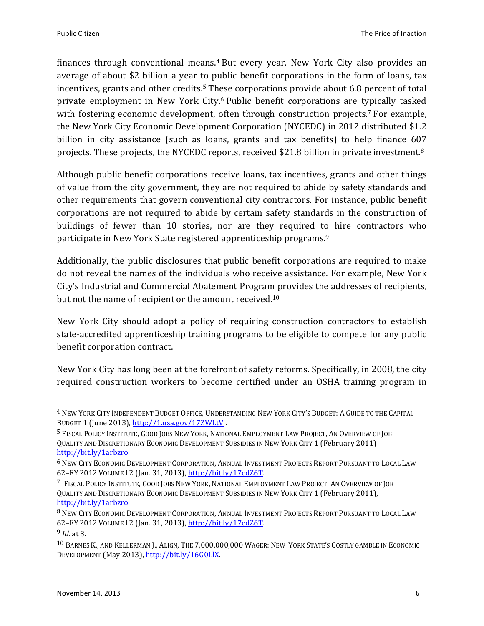finances through conventional means. <sup>4</sup> But every year, New York City also provides an average of about \$2 billion a year to public benefit corporations in the form of loans, tax incentives, grants and other credits.<sup>5</sup> These corporations provide about 6.8 percent of total private employment in New York City. <sup>6</sup> Public benefit corporations are typically tasked with fostering economic development, often through construction projects.<sup>7</sup> For example, the New York City Economic Development Corporation (NYCEDC) in 2012 distributed \$1.2 billion in city assistance (such as loans, grants and tax benefits) to help finance 607 projects. These projects, the NYCEDC reports, received \$21.8 billion in private investment. 8

Although public benefit corporations receive loans, tax incentives, grants and other things of value from the city government, they are not required to abide by safety standards and other requirements that govern conventional city contractors. For instance, public benefit corporations are not required to abide by certain safety standards in the construction of buildings of fewer than 10 stories, nor are they required to hire contractors who participate in New York State registered apprenticeship programs.<sup>9</sup>

Additionally, the public disclosures that public benefit corporations are required to make do not reveal the names of the individuals who receive assistance. For example, New York City's Industrial and Commercial Abatement Program provides the addresses of recipients, but not the name of recipient or the amount received.<sup>10</sup>

New York City should adopt a policy of requiring construction contractors to establish state-accredited apprenticeship training programs to be eligible to compete for any public benefit corporation contract.

New York City has long been at the forefront of safety reforms. Specifically, in 2008, the city required construction workers to become certified under an OSHA training program in

l

<sup>4</sup> NEW YORK CITY INDEPENDENT BUDGET OFFICE, UNDERSTANDING NEW YORK CITY'S BUDGET: A GUIDE TO THE CAPITAL BUDGET 1 (June 2013),<http://1.usa.gov/17ZWLtV> .

<sup>5</sup> FISCAL POLICY INSTITUTE, GOOD JOBS NEW YORK, NATIONAL EMPLOYMENT LAW PROJECT, AN OVERVIEW OF JOB QUALITY AND DISCRETIONARY ECONOMIC DEVELOPMENT SUBSIDIES IN NEW YORK CITY 1 (February 2011) [http://bit.ly/1arbzro.](http://bit.ly/1arbzro) 

<sup>6</sup> NEW CITY ECONOMIC DEVELOPMENT CORPORATION, ANNUAL INVESTMENT PROJECTS REPORT PURSUANT TO LOCAL LAW 62–FY 2012 VOLUME I 2 (Jan. 31, 2013)[, http://bit.ly/17cdZ6T.](http://bit.ly/17cdZ6T) 

<sup>7</sup> FISCAL POLICY INSTITUTE, GOOD JOBS NEW YORK, NATIONAL EMPLOYMENT LAW PROJECT, AN OVERVIEW OF JOB QUALITY AND DISCRETIONARY ECONOMIC DEVELOPMENT SUBSIDIES IN NEW YORK CITY 1 (February 2011), [http://bit.ly/1arbzro.](http://bit.ly/1arbzro) 

<sup>&</sup>lt;sup>8</sup> NEW CITY ECONOMIC DEVELOPMENT CORPORATION, ANNUAL INVESTMENT PROJECTS REPORT PURSUANT TO LOCAL LAW 62–FY 2012 VOLUME I 2 (Jan. 31, 2013)[, http://bit.ly/17cdZ6T.](http://bit.ly/17cdZ6T) 

<sup>9</sup> *Id*. at 3.

<sup>10</sup> BARNES K., AND KELLERMAN J., ALIGN, THE 7,000,000,000 WAGER: NEW YORK STATE'S COSTLY GAMBLE IN ECONOMIC DEVELOPMENT (May 2013)[, http://bit.ly/16G0LlX.](http://bit.ly/16G0LlX)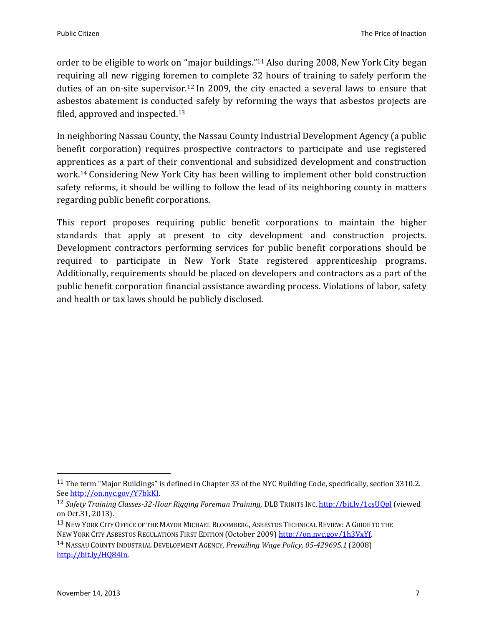order to be eligible to work on "major buildings."<sup>11</sup> Also during 2008, New York City began requiring all new rigging foremen to complete 32 hours of training to safely perform the duties of an on-site supervisor.<sup>12</sup> In 2009, the city enacted a several laws to ensure that asbestos abatement is conducted safely by reforming the ways that asbestos projects are filed, approved and inspected.<sup>13</sup>

In neighboring Nassau County, the Nassau County Industrial Development Agency (a public benefit corporation) requires prospective contractors to participate and use registered apprentices as a part of their conventional and subsidized development and construction work.<sup>14</sup> Considering New York City has been willing to implement other bold construction safety reforms, it should be willing to follow the lead of its neighboring county in matters regarding public benefit corporations.

This report proposes requiring public benefit corporations to maintain the higher standards that apply at present to city development and construction projects. Development contractors performing services for public benefit corporations should be required to participate in New York State registered apprenticeship programs. Additionally, requirements should be placed on developers and contractors as a part of the public benefit corporation financial assistance awarding process. Violations of labor, safety and health or tax laws should be publicly disclosed.

<sup>&</sup>lt;sup>11</sup> The term "Major Buildings" is defined in Chapter 33 of the NYC Building Code, specifically, section 3310.2. See [http://on.nyc.gov/Y7bkKI.](http://on.nyc.gov/Y7bkKI) 

<sup>12</sup> *Safety Training Classes-32-Hour Rigging Foreman Training,* DLB TRINITS INC. <http://bit.ly/1csUQpl> (viewed on Oct.31, 2013).

<sup>&</sup>lt;sup>13</sup> NEW YORK CITY OFFICE OF THE MAYOR MICHAEL BLOOMBERG, ASBESTOS TECHNICAL REVIEW: A GUIDE TO THE

NEW YORK CITY ASBESTOS REGULATIONS FIRST EDITION (October 2009) [http://on.nyc.gov/1h3VxYf.](http://on.nyc.gov/1h3VxYf) 

<sup>14</sup> NASSAU COUNTY INDUSTRIAL DEVELOPMENT AGENCY, *Prevailing Wage Policy, 05-429695.1* (2008) [http://bit.ly/HQ84in.](http://bit.ly/HQ84in)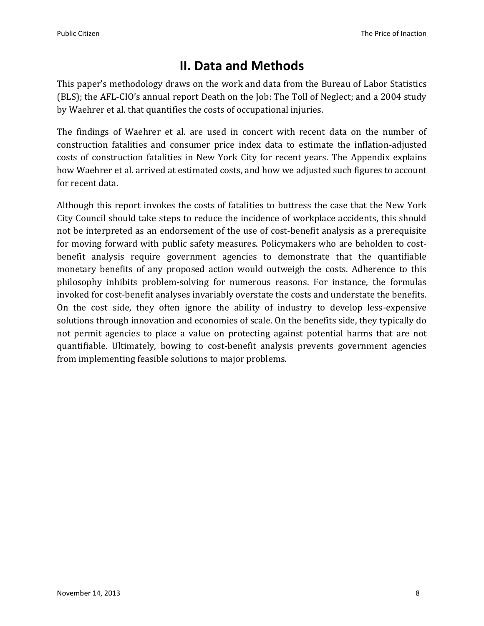## **II. Data and Methods**

<span id="page-7-0"></span>This paper's methodology draws on the work and data from the Bureau of Labor Statistics (BLS); the AFL-CIO's annual report Death on the Job: The Toll of Neglect; and a 2004 study by Waehrer et al. that quantifies the costs of occupational injuries.

The findings of Waehrer et al. are used in concert with recent data on the number of construction fatalities and consumer price index data to estimate the inflation-adjusted costs of construction fatalities in New York City for recent years. The Appendix explains how Waehrer et al. arrived at estimated costs, and how we adjusted such figures to account for recent data.

Although this report invokes the costs of fatalities to buttress the case that the New York City Council should take steps to reduce the incidence of workplace accidents, this should not be interpreted as an endorsement of the use of cost-benefit analysis as a prerequisite for moving forward with public safety measures. Policymakers who are beholden to costbenefit analysis require government agencies to demonstrate that the quantifiable monetary benefits of any proposed action would outweigh the costs. Adherence to this philosophy inhibits problem-solving for numerous reasons. For instance, the formulas invoked for cost-benefit analyses invariably overstate the costs and understate the benefits. On the cost side, they often ignore the ability of industry to develop less-expensive solutions through innovation and economies of scale. On the benefits side, they typically do not permit agencies to place a value on protecting against potential harms that are not quantifiable. Ultimately, bowing to cost-benefit analysis prevents government agencies from implementing feasible solutions to major problems.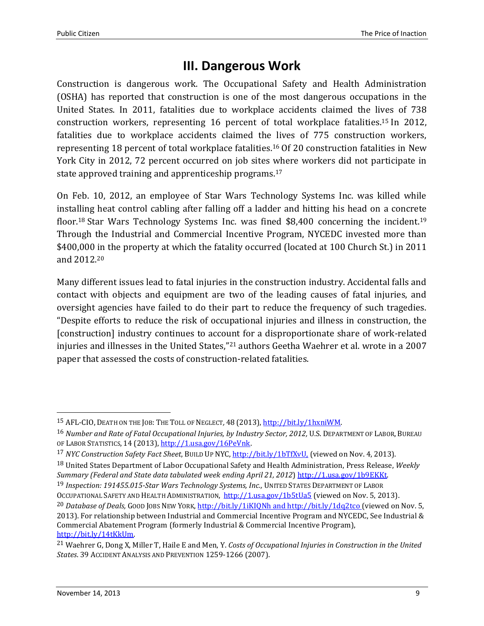#### **III. Dangerous Work**

<span id="page-8-0"></span>Construction is dangerous work. The Occupational Safety and Health Administration (OSHA) has reported that construction is one of the most dangerous occupations in the United States. In 2011, fatalities due to workplace accidents claimed the lives of 738 construction workers, representing 16 percent of total workplace fatalities. <sup>15</sup> In 2012, fatalities due to workplace accidents claimed the lives of 775 construction workers, representing 18 percent of total workplace fatalities. <sup>16</sup> Of 20 construction fatalities in New York City in 2012, 72 percent occurred on job sites where workers did not participate in state approved training and apprenticeship programs.<sup>17</sup>

On Feb. 10, 2012, an employee of Star Wars Technology Systems Inc. was killed while installing heat control cabling after falling off a ladder and hitting his head on a concrete floor.<sup>18</sup> Star Wars Technology Systems Inc. was fined \$8,400 concerning the incident.<sup>19</sup> Through the Industrial and Commercial Incentive Program, NYCEDC invested more than \$400,000 in the property at which the fatality occurred (located at 100 Church St.) in 2011 and 2012.<sup>20</sup>

Many different issues lead to fatal injuries in the construction industry. Accidental falls and contact with objects and equipment are two of the leading causes of fatal injuries, and oversight agencies have failed to do their part to reduce the frequency of such tragedies. "Despite efforts to reduce the risk of occupational injuries and illness in construction, the [construction] industry continues to account for a disproportionate share of work-related injuries and illnesses in the United States,"<sup>21</sup> authors Geetha Waehrer et al. wrote in a 2007 paper that assessed the costs of construction-related fatalities.

19 *Inspection: 191455.015-Star Wars Technology Systems, Inc.,* UNITED STATES DEPARTMENT OF LABOR

OCCUPATIONAL SAFETY AND HEALTH ADMINISTRATION, <http://1.usa.gov/1b5tUa5> (viewed on Nov. 5, 2013).

<sup>15</sup> AFL-CIO, DEATH ON THE JOB: THE TOLL OF NEGLECT*,* 48 (2013), [http://bit.ly/1hxniWM.](http://bit.ly/1hxniWM)

<sup>16</sup> *Number and Rate of Fatal Occupational Injuries, by Industry Sector, 2012,* U.S. DEPARTMENT OF LABOR, BUREAU OF LABOR STATISTICS, 14 (2013)[, http://1.usa.gov/16PeVnk.](http://1.usa.gov/16PeVnk)

<sup>&</sup>lt;sup>17</sup> *NYC Construction Safety Fact Sheet*, BUILD UP NYC, *http://bit.ly/1bTfXvU*, (viewed on Nov. 4, 2013).

<sup>18</sup> United States Department of Labor Occupational Safety and Health Administration, Press Release, *Weekly Summary (Federal and State data tabulated week ending April 21, 2012*[\) http://1.usa.gov/1b9EKKt.](http://1.usa.gov/1b9EKKt) 

<sup>&</sup>lt;sup>20</sup> *Database of Deals, GOOD JOBS NEW YORK*, <http://bit.ly/1iKIQNh> an[d http://bit.ly/1dq2tco](http://bit.ly/1dq2tco) (viewed on Nov. 5, 2013). For relationship between Industrial and Commercial Incentive Program and NYCEDC, See Industrial & Commercial Abatement Program (formerly Industrial & Commercial Incentive Program), [http://bit.ly/14tKkUm.](http://bit.ly/14tKkUm) 

<sup>21</sup> Waehrer G, Dong X, Miller T, Haile E and Men, Y. *Costs of Occupational Injuries in Construction in the United States*. 39 ACCIDENT ANALYSIS AND PREVENTION 1259-1266 (2007).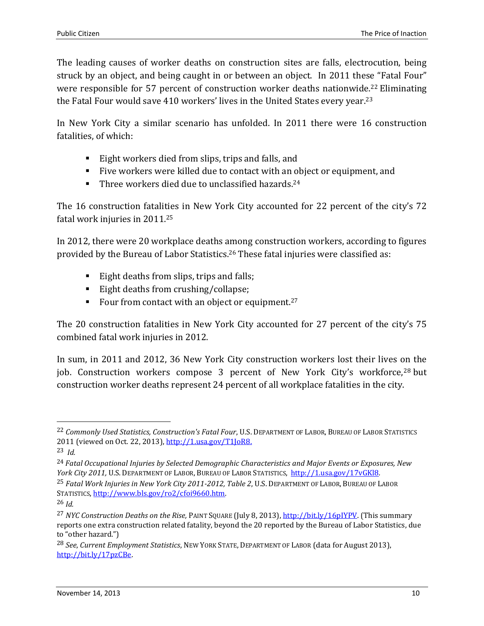The leading causes of worker deaths on construction sites are falls, electrocution, being struck by an object, and being caught in or between an object. In 2011 these "Fatal Four" were responsible for 57 percent of construction worker deaths nationwide.<sup>22</sup> Eliminating the Fatal Four would save 410 workers' lives in the United States every year.<sup>23</sup>

In New York City a similar scenario has unfolded. In 2011 there were 16 construction fatalities, of which:

- Eight workers died from slips, trips and falls, and
- Five workers were killed due to contact with an object or equipment, and
- Three workers died due to unclassified hazards.<sup>24</sup>

The 16 construction fatalities in New York City accounted for 22 percent of the city's 72 fatal work injuries in 2011. 25

In 2012, there were 20 workplace deaths among construction workers, according to figures provided by the Bureau of Labor Statistics.<sup>26</sup> These fatal injuries were classified as:

- Eight deaths from slips, trips and falls;
- Eight deaths from crushing/collapse;
- Four from contact with an object or equipment.<sup>27</sup>

The 20 construction fatalities in New York City accounted for 27 percent of the city's 75 combined fatal work injuries in 2012.

In sum, in 2011 and 2012, 36 New York City construction workers lost their lives on the job. Construction workers compose 3 percent of New York City's workforce,<sup>28</sup> but construction worker deaths represent 24 percent of all workplace fatalities in the city.

<sup>22</sup> *Commonly Used Statistics, Construction's Fatal Four*, U.S. DEPARTMENT OF LABOR, BUREAU OF LABOR STATISTICS 2011 (viewed on Oct. 22, 2013)[, http://1.usa.gov/T1JoR8.](http://1.usa.gov/T1JoR8)

<sup>23</sup> *Id.*

<sup>24</sup> *Fatal Occupational Injuries by Selected Demographic Characteristics and Major Events or Exposures, New York City 2011,* U.S. DEPARTMENT OF LABOR, BUREAU OF LABOR STATISTICS, <http://1.usa.gov/17vGKl8>*.* 

<sup>25</sup> *Fatal Work Injuries in New York City 2011-2012, Table 2*, U.S. DEPARTMENT OF LABOR, BUREAU OF LABOR STATISTICS, <http://www.bls.gov/ro2/cfoi9660.htm>*.* 

<sup>26</sup> *Id.*

<sup>27</sup> *NYC Construction Deaths on the Rise,* PAINT SQUARE (July 8, 2013), [http://bit.ly/16pIYPV.](http://bit.ly/16pIYPV) (This summary reports one extra construction related fatality, beyond the 20 reported by the Bureau of Labor Statistics, due to "other hazard.")

<sup>28</sup> *See*, *Current Employment Statistics*, NEW YORK STATE, DEPARTMENT OF LABOR (data for August 2013), [http://bit.ly/17pzCBe.](http://bit.ly/17pzCBe)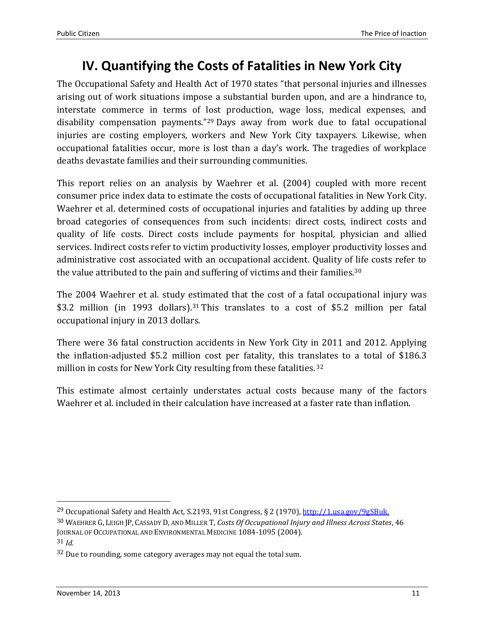#### **IV. Quantifying the Costs of Fatalities in New York City**

<span id="page-10-0"></span>The Occupational Safety and Health Act of 1970 states "that personal injuries and illnesses arising out of work situations impose a substantial burden upon, and are a hindrance to, interstate commerce in terms of lost production, wage loss, medical expenses, and disability compensation payments."<sup>29</sup> Days away from work due to fatal occupational injuries are costing employers, workers and New York City taxpayers. Likewise, when occupational fatalities occur, more is lost than a day's work. The tragedies of workplace deaths devastate families and their surrounding communities.

This report relies on an analysis by Waehrer et al. (2004) coupled with more recent consumer price index data to estimate the costs of occupational fatalities in New York City. Waehrer et al. determined costs of occupational injuries and fatalities by adding up three broad categories of consequences from such incidents: direct costs, indirect costs and quality of life costs. Direct costs include payments for hospital, physician and allied services. Indirect costs refer to victim productivity losses, employer productivity losses and administrative cost associated with an occupational accident. Quality of life costs refer to the value attributed to the pain and suffering of victims and their families.<sup>30</sup>

The 2004 Waehrer et al. study estimated that the cost of a fatal occupational injury was \$3.2 million (in 1993 dollars).<sup>31</sup> This translates to a cost of \$5.2 million per fatal occupational injury in 2013 dollars.

There were 36 fatal construction accidents in New York City in 2011 and 2012. Applying the inflation-adjusted \$5.2 million cost per fatality, this translates to a total of \$186.3 million in costs for New York City resulting from these fatalities. 32

<span id="page-10-1"></span>This estimate almost certainly understates actual costs because many of the factors Waehrer et al. included in their calculation have increased at a faster rate than inflation.

<sup>&</sup>lt;sup>29</sup> Occupational Safety and Health Act, S.2193, 91st Congress, § 2 (1970), [http://1.usa.gov/9gSBuk.](http://1.usa.gov/9gSBuk)

<sup>30</sup> WAEHRER G, LEIGH JP, CASSADY D, AND MILLER T, *Costs Of Occupational Injury and Illness Across States*, 46 JOURNAL OF OCCUPATIONAL AND ENVIRONMENTAL MEDICINE 1084-1095 (2004).

<sup>31</sup> *Id.*

 $32$  Due to rounding, some category averages may not equal the total sum.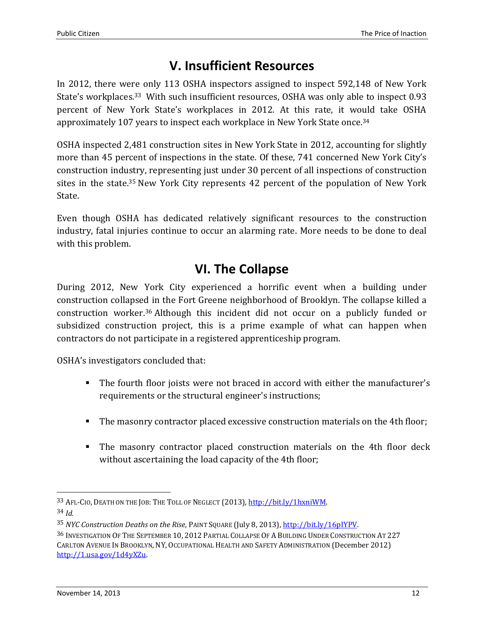## **V. Insufficient Resources**

In 2012, there were only 113 OSHA inspectors assigned to inspect 592,148 of New York State's workplaces.33 With such insufficient resources, OSHA was only able to inspect 0.93 percent of New York State's workplaces in 2012. At this rate, it would take OSHA approximately 107 years to inspect each workplace in New York State once.<sup>34</sup>

OSHA inspected 2,481 construction sites in New York State in 2012, accounting for slightly more than 45 percent of inspections in the state. Of these, 741 concerned New York City's construction industry, representing just under 30 percent of all inspections of construction sites in the state.<sup>35</sup> New York City represents 42 percent of the population of New York State.

Even though OSHA has dedicated relatively significant resources to the construction industry, fatal injuries continue to occur an alarming rate. More needs to be done to deal with this problem.

#### **VI. The Collapse**

<span id="page-11-0"></span>During 2012, New York City experienced a horrific event when a building under construction collapsed in the Fort Greene neighborhood of Brooklyn. The collapse killed a construction worker. <sup>36</sup> Although this incident did not occur on a publicly funded or subsidized construction project, this is a prime example of what can happen when contractors do not participate in a registered apprenticeship program.

OSHA's investigators concluded that:

- The fourth floor joists were not braced in accord with either the manufacturer's requirements or the structural engineer's instructions;
- The masonry contractor placed excessive construction materials on the 4th floor;
- The masonry contractor placed construction materials on the 4th floor deck without ascertaining the load capacity of the 4th floor;

l

<sup>33</sup> AFL-CIO, DEATH ON THE JOB: THE TOLL OF NEGLECT (2013)[, http://bit.ly/1hxniWM.](http://bit.ly/1hxniWM)  34 *Id.*

<sup>35</sup> *NYC Construction Deaths on the Rise,* PAINT SQUARE (July 8, 2013), [http://bit.ly/16pIYPV.](http://bit.ly/16pIYPV)

<sup>36</sup> INVESTIGATION OF THE SEPTEMBER 10, 2012 PARTIAL COLLAPSE OF A BUILDING UNDER CONSTRUCTION AT 227 CARLTON AVENUE IN BROOKLYN, NY, OCCUPATIONAL HEALTH AND SAFETY ADMINISTRATION (December 2012) [http://1.usa.gov/1d4yXZu.](http://1.usa.gov/1d4yXZu)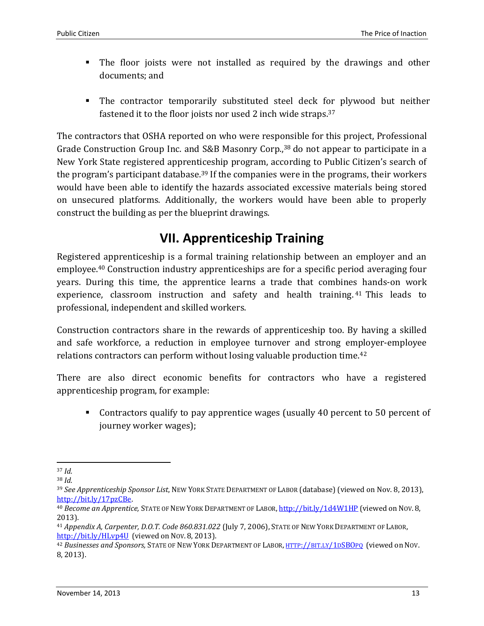- The floor joists were not installed as required by the drawings and other documents; and
- The contractor temporarily substituted steel deck for plywood but neither fastened it to the floor joists nor used 2 inch wide straps.<sup>37</sup>

The contractors that OSHA reported on who were responsible for this project, Professional Grade Construction Group Inc. and S&B Masonry Corp.,<sup>38</sup> do not appear to participate in a New York State registered apprenticeship program, according to Public Citizen's search of the program's participant database.<sup>39</sup> If the companies were in the programs, their workers would have been able to identify the hazards associated excessive materials being stored on unsecured platforms. Additionally, the workers would have been able to properly construct the building as per the blueprint drawings.

## **VII. Apprenticeship Training**

<span id="page-12-0"></span>Registered apprenticeship is a formal training relationship between an employer and an employee.<sup>40</sup> Construction industry apprenticeships are for a specific period averaging four years. During this time, the apprentice learns a trade that combines hands-on work experience, classroom instruction and safety and health training.<sup>41</sup> This leads to professional, independent and skilled workers.

Construction contractors share in the rewards of apprenticeship too. By having a skilled and safe workforce, a reduction in employee turnover and strong employer-employee relations contractors can perform without losing valuable production time.<sup>42</sup>

There are also direct economic benefits for contractors who have a registered apprenticeship program, for example:

 Contractors qualify to pay apprentice wages (usually 40 percent to 50 percent of journey worker wages);

l <sup>37</sup> *Id.* 

<sup>38</sup> *Id.*

<sup>39</sup> *See Apprenticeship Sponsor List*, NEW YORK STATE DEPARTMENT OF LABOR (database) (viewed on Nov. 8, 2013), [http://bit.ly/17pzCBe.](http://bit.ly/17pzCBe) 

<sup>40</sup> *Become an Apprentice,* STATE OF NEW YORK DEPARTMENT OF LABOR, <http://bit.ly/1d4W1HP> (viewed on NOV. 8, 2013).

<sup>41</sup> *Appendix A, Carpenter, D.O.T. Code 860.831.022* (July 7, 2006), STATE OF NEW YORK DEPARTMENT OF LABOR, <http://bit.ly/HLvp4U> (viewed on NOV. 8, 2013).

<sup>42</sup> *Businesses and Sponsors,* STATE OF NEW YORK DEPARTMENT OF LABOR, HTTP://BIT.LY/1D[SBO](http://bit.ly/1dSBOpq)PQ (viewed on NOV. 8, 2013).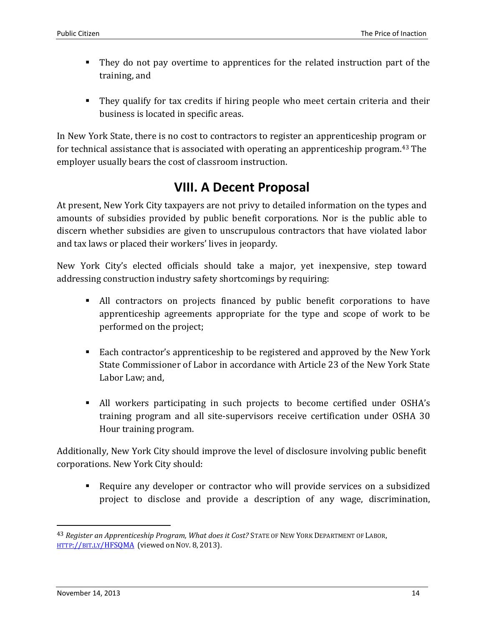- They do not pay overtime to apprentices for the related instruction part of the training, and
- They qualify for tax credits if hiring people who meet certain criteria and their business is located in specific areas.

In New York State, there is no cost to contractors to register an apprenticeship program or for technical assistance that is associated with operating an apprenticeship program.<sup>43</sup> The employer usually bears the cost of classroom instruction.

#### **VIII. A Decent Proposal**

<span id="page-13-0"></span>At present, New York City taxpayers are not privy to detailed information on the types and amounts of subsidies provided by public benefit corporations. Nor is the public able to discern whether subsidies are given to unscrupulous contractors that have violated labor and tax laws or placed their workers' lives in jeopardy.

New York City's elected officials should take a major, yet inexpensive, step toward addressing construction industry safety shortcomings by requiring:

- All contractors on projects financed by public benefit corporations to have apprenticeship agreements appropriate for the type and scope of work to be performed on the project;
- Each contractor's apprenticeship to be registered and approved by the New York State Commissioner of Labor in accordance with Article 23 of the New York State Labor Law; and,
- All workers participating in such projects to become certified under OSHA's training program and all site-supervisors receive certification under OSHA 30 Hour training program.

Additionally, New York City should improve the level of disclosure involving public benefit corporations. New York City should:

 Require any developer or contractor who will provide services on a subsidized project to disclose and provide a description of any wage, discrimination,

 $\overline{\phantom{0}}$ 

<sup>43</sup> *Register an Apprenticeship Program, What does it Cost?* STATE OF NEW YORK DEPARTMENT OF LABOR, HTTP://BIT.LY[/HFSQMA](http://bit.ly/HFSQMA) (viewed on NOV. 8, 2013).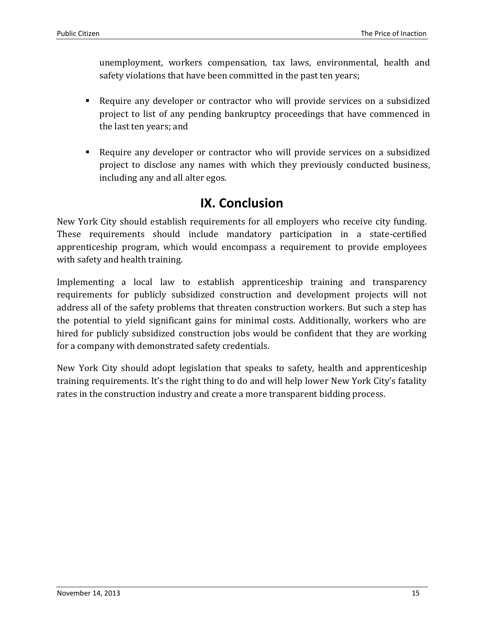unemployment, workers compensation, tax laws, environmental, health and safety violations that have been committed in the past ten years;

- Require any developer or contractor who will provide services on a subsidized project to list of any pending bankruptcy proceedings that have commenced in the last ten years; and
- Require any developer or contractor who will provide services on a subsidized project to disclose any names with which they previously conducted business, including any and all alter egos.

#### **IX. Conclusion**

<span id="page-14-0"></span>New York City should establish requirements for all employers who receive city funding. These requirements should include mandatory participation in a state-certified apprenticeship program, which would encompass a requirement to provide employees with safety and health training.

Implementing a local law to establish apprenticeship training and transparency requirements for publicly subsidized construction and development projects will not address all of the safety problems that threaten construction workers. But such a step has the potential to yield significant gains for minimal costs. Additionally, workers who are hired for publicly subsidized construction jobs would be confident that they are working for a company with demonstrated safety credentials.

New York City should adopt legislation that speaks to safety, health and apprenticeship training requirements. It's the right thing to do and will help lower New York City's fatality rates in the construction industry and create a more transparent bidding process.